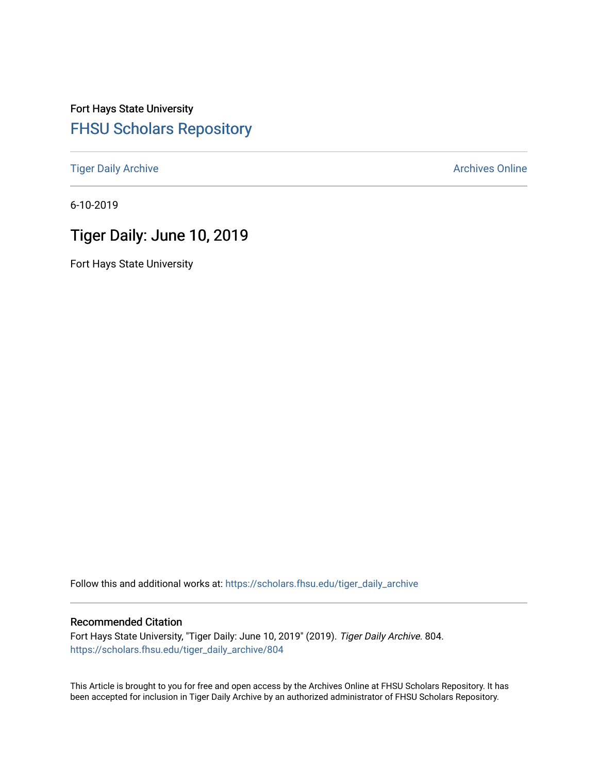## Fort Hays State University [FHSU Scholars Repository](https://scholars.fhsu.edu/)

[Tiger Daily Archive](https://scholars.fhsu.edu/tiger_daily_archive) **Archives** Online Archives Online

6-10-2019

# Tiger Daily: June 10, 2019

Fort Hays State University

Follow this and additional works at: [https://scholars.fhsu.edu/tiger\\_daily\\_archive](https://scholars.fhsu.edu/tiger_daily_archive?utm_source=scholars.fhsu.edu%2Ftiger_daily_archive%2F804&utm_medium=PDF&utm_campaign=PDFCoverPages)

#### Recommended Citation

Fort Hays State University, "Tiger Daily: June 10, 2019" (2019). Tiger Daily Archive. 804. [https://scholars.fhsu.edu/tiger\\_daily\\_archive/804](https://scholars.fhsu.edu/tiger_daily_archive/804?utm_source=scholars.fhsu.edu%2Ftiger_daily_archive%2F804&utm_medium=PDF&utm_campaign=PDFCoverPages)

This Article is brought to you for free and open access by the Archives Online at FHSU Scholars Repository. It has been accepted for inclusion in Tiger Daily Archive by an authorized administrator of FHSU Scholars Repository.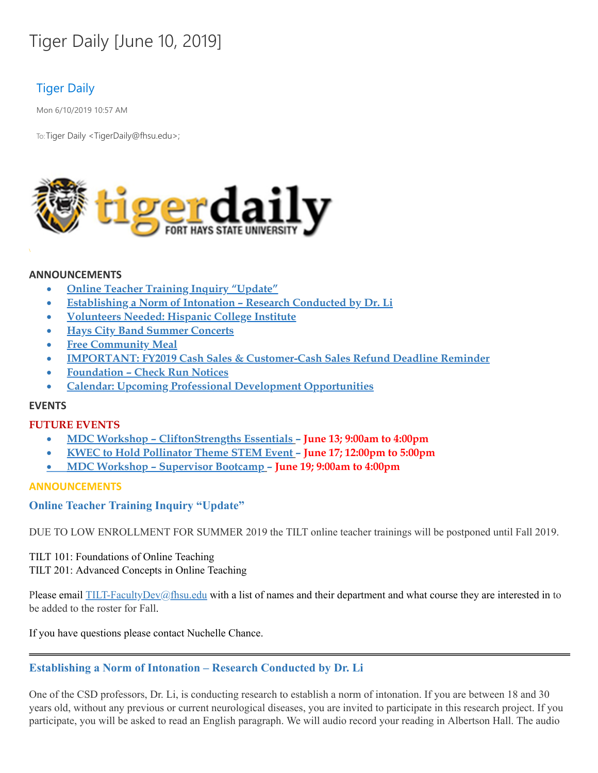# Tiger Daily [June 10, 2019]

## Tiger Daily

Mon 6/10/2019 10:57 AM

To: Tiger Daily < TigerDaily@fhsu.edu>;



#### **ANNOUNCEMENTS**

- · **Online Teacher Training Inquiry "Update"**
- · **Establishing a Norm of Intonation – Research Conducted by Dr. Li**
- · **Volunteers Needed: Hispanic College Institute**
- · **Hays City Band Summer Concerts**
- · **Free Community Meal**
- · **IMPORTANT: FY2019 Cash Sales & Customer-Cash Sales Refund Deadline Reminder**
- · **Foundation – Check Run Notices**
- · **Calendar: Upcoming Professional Development Opportunities**

#### **EVENTS**

#### **FUTURE EVENTS**

- · **MDC Workshop – CliftonStrengths Essentials – June 13; 9:00am to 4:00pm**
- · **KWEC to Hold Pollinator Theme STEM Event – June 17; 12:00pm to 5:00pm**
- · **MDC Workshop – Supervisor Bootcamp – June 19; 9:00am to 4:00pm**

#### **ANNOUNCEMENTS**

#### **Online Teacher Training Inquiry "Update"**

DUE TO LOW ENROLLMENT FOR SUMMER 2019 the TILT online teacher trainings will be postponed until Fall 2019.

TILT 101: Foundations of Online Teaching TILT 201: Advanced Concepts in Online Teaching

Please email [TILT-FacultyDev@fhsu.edu](mailto:TILT-FacultyDev@fhsu.edu) with a list of names and their department and what course they are interested in to be added to the roster for Fall.

If you have questions please contact Nuchelle Chance.

#### **Establishing a Norm of Intonation – Research Conducted by Dr. Li**

One of the CSD professors, Dr. Li, is conducting research to establish a norm of intonation. If you are between 18 and 30 years old, without any previous or current neurological diseases, you are invited to participate in this research project. If you participate, you will be asked to read an English paragraph. We will audio record your reading in Albertson Hall. The audio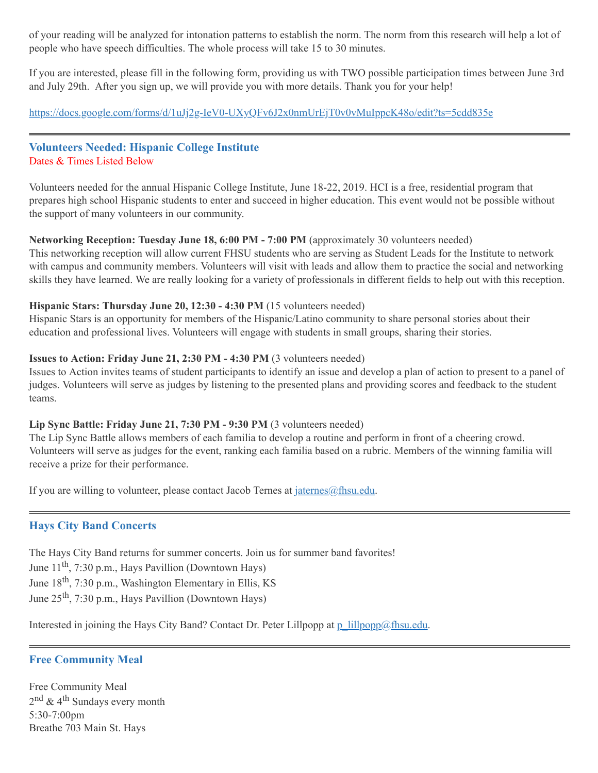of your reading will be analyzed for intonation patterns to establish the norm. The norm from this research will help a lot of people who have speech difficulties. The whole process will take 15 to 30 minutes.

If you are interested, please fill in the following form, providing us with TWO possible participation times between June 3rd and July 29th. After you sign up, we will provide you with more details. Thank you for your help!

<https://docs.google.com/forms/d/1uJj2g-IeV0-UXyQFv6J2x0nmUrEjT0v0vMuIppcK48o/edit?ts=5cdd835e>

#### **Volunteers Needed: Hispanic College Institute** Dates & Times Listed Below

Volunteers needed for the annual Hispanic College Institute, June 18-22, 2019. HCI is a free, residential program that prepares high school Hispanic students to enter and succeed in higher education. This event would not be possible without the support of many volunteers in our community.

#### **Networking Reception: Tuesday June 18, 6:00 PM - 7:00 PM** (approximately 30 volunteers needed)

This networking reception will allow current FHSU students who are serving as Student Leads for the Institute to network with campus and community members. Volunteers will visit with leads and allow them to practice the social and networking skills they have learned. We are really looking for a variety of professionals in different fields to help out with this reception.

#### **Hispanic Stars: Thursday June 20, 12:30 - 4:30 PM** (15 volunteers needed)

Hispanic Stars is an opportunity for members of the Hispanic/Latino community to share personal stories about their education and professional lives. Volunteers will engage with students in small groups, sharing their stories.

#### **Issues to Action: Friday June 21, 2:30 PM - 4:30 PM** (3 volunteers needed)

Issues to Action invites teams of student participants to identify an issue and develop a plan of action to present to a panel of judges. Volunteers will serve as judges by listening to the presented plans and providing scores and feedback to the student teams.

#### **Lip Sync Battle: Friday June 21, 7:30 PM - 9:30 PM** (3 volunteers needed)

The Lip Sync Battle allows members of each familia to develop a routine and perform in front of a cheering crowd. Volunteers will serve as judges for the event, ranking each familia based on a rubric. Members of the winning familia will receive a prize for their performance.

If you are willing to volunteer, please contact Jacob Ternes at  $\frac{\partial f}{\partial x}$  in equals.

#### **Hays City Band Concerts**

The Hays City Band returns for summer concerts. Join us for summer band favorites! June 11<sup>th</sup>, 7:30 p.m., Hays Pavillion (Downtown Hays) June 18<sup>th</sup>, 7:30 p.m., Washington Elementary in Ellis, KS June 25<sup>th</sup>, 7:30 p.m., Hays Pavillion (Downtown Hays)

Interested in joining the Hays City Band? Contact Dr. Peter Lillpopp at  $p$  lillpopp@fhsu.edu.

#### **Free Community Meal**

Free Community Meal 2<sup>nd</sup> & 4<sup>th</sup> Sundays every month 5:30-7:00pm Breathe 703 Main St. Hays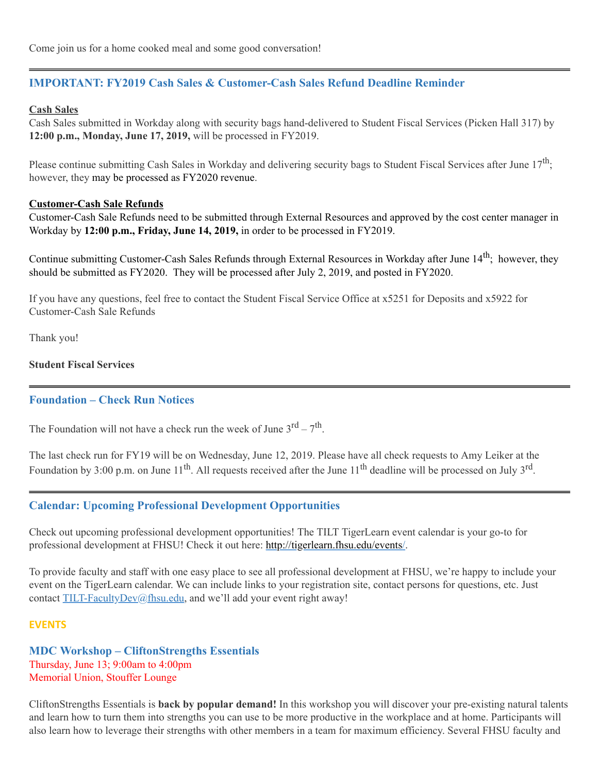### **IMPORTANT: FY2019 Cash Sales & Customer-Cash Sales Refund Deadline Reminder**

#### **Cash Sales**

Cash Sales submitted in Workday along with security bags hand-delivered to Student Fiscal Services (Picken Hall 317) by **12:00 p.m., Monday, June 17, 2019,** will be processed in FY2019.

Please continue submitting Cash Sales in Workday and delivering security bags to Student Fiscal Services after June  $17^{\text{th}}$ ; however, they may be processed as FY2020 revenue.

#### **Customer-Cash Sale Refunds**

Customer-Cash Sale Refunds need to be submitted through External Resources and approved by the cost center manager in Workday by **12:00 p.m., Friday, June 14, 2019,** in order to be processed in FY2019.

Continue submitting Customer-Cash Sales Refunds through External Resources in Workday after June 14<sup>th</sup>; however, they should be submitted as FY2020. They will be processed after July 2, 2019, and posted in FY2020.

If you have any questions, feel free to contact the Student Fiscal Service Office at x5251 for Deposits and x5922 for Customer-Cash Sale Refunds

Thank you!

#### **Student Fiscal Services**

#### **Foundation – Check Run Notices**

The Foundation will not have a check run the week of June  $3^{rd} - 7^{th}$ .

The last check run for FY19 will be on Wednesday, June 12, 2019. Please have all check requests to Amy Leiker at the Foundation by 3:00 p.m. on June 11<sup>th</sup>. All requests received after the June 11<sup>th</sup> deadline will be processed on July 3<sup>rd</sup>.

#### **Calendar: Upcoming Professional Development Opportunities**

Check out upcoming professional development opportunities! The TILT TigerLearn event calendar is your go-to for professional development at FHSU! Check it out here: <http://tigerlearn.fhsu.edu/events/>.

To provide faculty and staff with one easy place to see all professional development at FHSU, we're happy to include your event on the TigerLearn calendar. We can include links to your registration site, contact persons for questions, etc. Just contact [TILT-FacultyDev@fhsu.edu,](mailto:TILT-FacultyDev@fhsu.edu) and we'll add your event right away!

#### **EVENTS**

**MDC Workshop – CliftonStrengths Essentials** Thursday, June 13; 9:00am to 4:00pm Memorial Union, Stouffer Lounge

CliftonStrengths Essentials is **back by popular demand!** In this workshop you will discover your pre-existing natural talents and learn how to turn them into strengths you can use to be more productive in the workplace and at home. Participants will also learn how to leverage their strengths with other members in a team for maximum efficiency. Several FHSU faculty and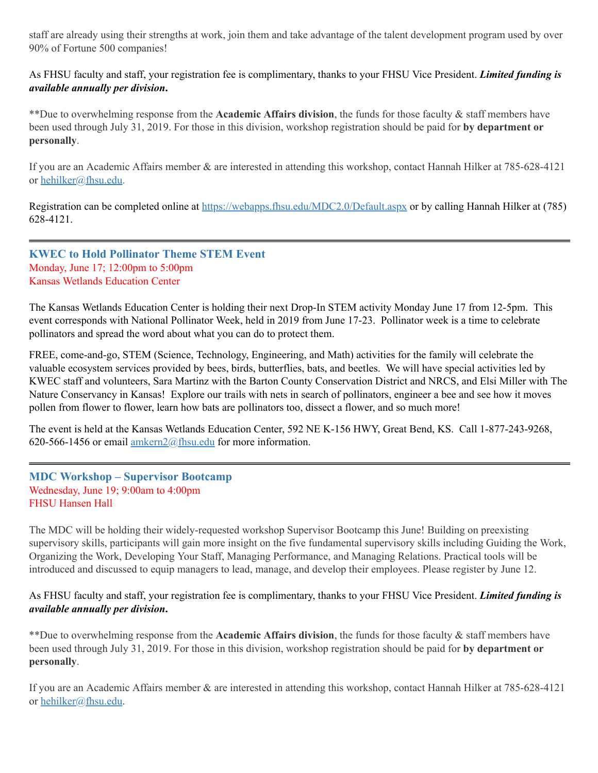staff are already using their strengths at work, join them and take advantage of the talent development program used by over 90% of Fortune 500 companies!

As FHSU faculty and staff, your registration fee is complimentary, thanks to your FHSU Vice President. *Limited funding is available annually per division***.**

\*\*Due to overwhelming response from the **Academic Affairs division**, the funds for those faculty & staff members have been used through July 31, 2019. For those in this division, workshop registration should be paid for **by department or personally**.

If you are an Academic Affairs member & are interested in attending this workshop, contact Hannah Hilker at 785-628-4121 or [hehilker@fhsu.edu](mailto:hehilker@fhsu.edu).

Registration can be completed online at <https://webapps.fhsu.edu/MDC2.0/Default.aspx> or by calling Hannah Hilker at (785) 628-4121.

#### **KWEC to Hold Pollinator Theme STEM Event** Monday, June 17; 12:00pm to 5:00pm Kansas Wetlands Education Center

The Kansas Wetlands Education Center is holding their next Drop-In STEM activity Monday June 17 from 12-5pm. This event corresponds with National Pollinator Week, held in 2019 from June 17-23. Pollinator week is a time to celebrate pollinators and spread the word about what you can do to protect them.

FREE, come-and-go, STEM (Science, Technology, Engineering, and Math) activities for the family will celebrate the valuable ecosystem services provided by bees, birds, butterflies, bats, and beetles. We will have special activities led by KWEC staff and volunteers, Sara Martinz with the Barton County Conservation District and NRCS, and Elsi Miller with The Nature Conservancy in Kansas! Explore our trails with nets in search of pollinators, engineer a bee and see how it moves pollen from flower to flower, learn how bats are pollinators too, dissect a flower, and so much more!

The event is held at the Kansas Wetlands Education Center, 592 NE K-156 HWY, Great Bend, KS. Call 1-877-243-9268, 620-566-1456 or email  $amkern2@fhsu.edu$  for more information.

#### **MDC Workshop – Supervisor Bootcamp** Wednesday, June 19; 9:00am to 4:00pm FHSU Hansen Hall

The MDC will be holding their widely-requested workshop Supervisor Bootcamp this June! Building on preexisting supervisory skills, participants will gain more insight on the five fundamental supervisory skills including Guiding the Work, Organizing the Work, Developing Your Staff, Managing Performance, and Managing Relations. Practical tools will be introduced and discussed to equip managers to lead, manage, and develop their employees. Please register by June 12.

As FHSU faculty and staff, your registration fee is complimentary, thanks to your FHSU Vice President. *Limited funding is available annually per division***.**

\*\*Due to overwhelming response from the **Academic Affairs division**, the funds for those faculty & staff members have been used through July 31, 2019. For those in this division, workshop registration should be paid for **by department or personally**.

If you are an Academic Affairs member & are interested in attending this workshop, contact Hannah Hilker at 785-628-4121 or [hehilker@fhsu.edu](mailto:hehilker@fhsu.edu).